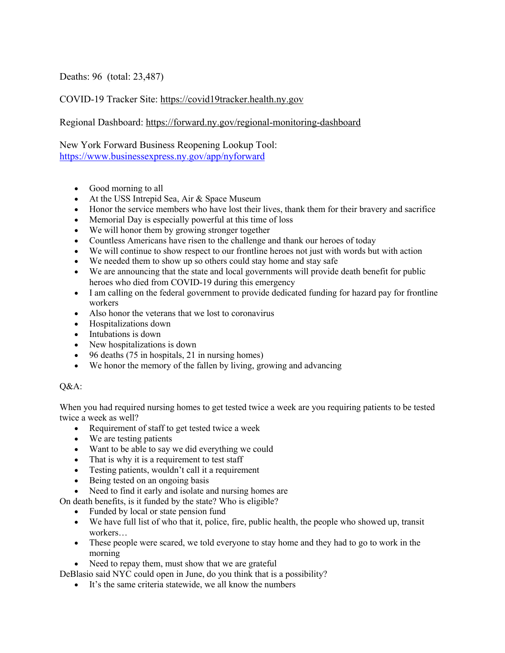Deaths: 96 (total: 23,487)

COVID-19 Tracker Site: https://covid19tracker.health.ny.gov

Regional Dashboard: https://forward.ny.gov/regional-monitoring-dashboard

New York Forward Business Reopening Lookup Tool: https://www.businessexpress.ny.gov/app/nyforward

- Good morning to all
- At the USS Intrepid Sea, Air & Space Museum
- Honor the service members who have lost their lives, thank them for their bravery and sacrifice
- Memorial Day is especially powerful at this time of loss
- We will honor them by growing stronger together
- Countless Americans have risen to the challenge and thank our heroes of today
- We will continue to show respect to our frontline heroes not just with words but with action
- We needed them to show up so others could stay home and stay safe
- We are announcing that the state and local governments will provide death benefit for public heroes who died from COVID-19 during this emergency
- I am calling on the federal government to provide dedicated funding for hazard pay for frontline workers
- Also honor the veterans that we lost to coronavirus
- Hospitalizations down
- Intubations is down
- New hospitalizations is down
- 96 deaths  $(75 \text{ in hospitals}, 21 \text{ in nursing homes})$
- We honor the memory of the fallen by living, growing and advancing

## Q&A:

When you had required nursing homes to get tested twice a week are you requiring patients to be tested twice a week as well?

- Requirement of staff to get tested twice a week
- We are testing patients
- Want to be able to say we did everything we could
- That is why it is a requirement to test staff
- Testing patients, wouldn't call it a requirement
- Being tested on an ongoing basis
- Need to find it early and isolate and nursing homes are
- On death benefits, is it funded by the state? Who is eligible?
	- Funded by local or state pension fund
	- We have full list of who that it, police, fire, public health, the people who showed up, transit workers…
	- These people were scared, we told everyone to stay home and they had to go to work in the morning
	- Need to repay them, must show that we are grateful

DeBlasio said NYC could open in June, do you think that is a possibility?

• It's the same criteria statewide, we all know the numbers